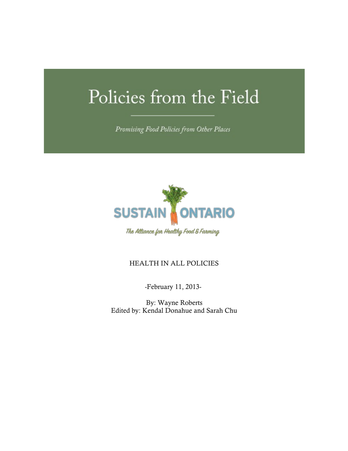# Policies from the Field

Promising Food Policies from Other Places



### HEALTH IN ALL POLICIES

-February 11, 2013-

By: Wayne Roberts Edited by: Kendal Donahue and Sarah Chu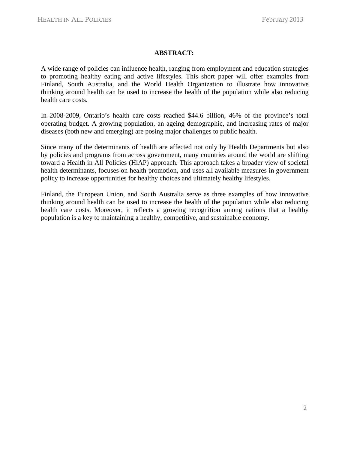#### **ABSTRACT:**

A wide range of policies can influence health, ranging from employment and education strategies to promoting healthy eating and active lifestyles. This short paper will offer examples from Finland, South Australia, and the World Health Organization to illustrate how innovative thinking around health can be used to increase the health of the population while also reducing health care costs.

In 2008-2009, Ontario's health care costs reached \$44.6 billion, 46% of the province's total operating budget. A growing population, an ageing demographic, and increasing rates of major diseases (both new and emerging) are posing major challenges to public health.

Since many of the determinants of health are affected not only by Health Departments but also by policies and programs from across government, many countries around the world are shifting toward a Health in All Policies (HiAP) approach. This approach takes a broader view of societal health determinants, focuses on health promotion, and uses all available measures in government policy to increase opportunities for healthy choices and ultimately healthy lifestyles.

Finland, the European Union, and South Australia serve as three examples of how innovative thinking around health can be used to increase the health of the population while also reducing health care costs. Moreover, it reflects a growing recognition among nations that a healthy population is a key to maintaining a healthy, competitive, and sustainable economy.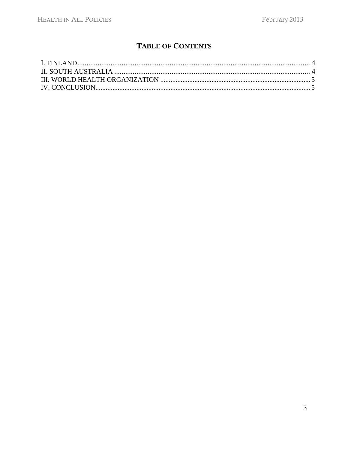## **TABLE OF CONTENTS**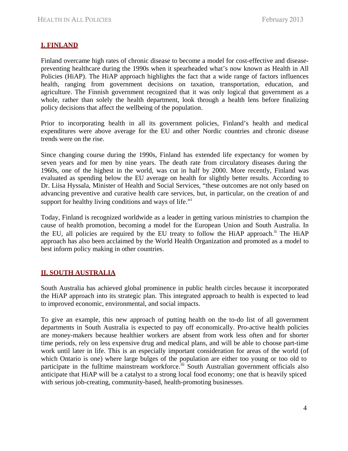#### **I. FINLAND**

Finland overcame high rates of chronic disease to become a model for cost-effective and diseasepreventing healthcare during the 1990s when it spearheaded what's now known as Health in All Policies (HiAP). The HiAP approach highlights the fact that a wide range of factors influences health, ranging from government decisions on taxation, transportation, education, and agriculture. The Finnish government recognized that it was only logical that government as a whole, rather than solely the health department, look through a health lens before finalizing policy decisions that affect the wellbeing of the population.

Prior to incorporating health in all its government policies, Finland's health and medical expenditures were above average for the EU and other Nordic countries and chronic disease trends were on the rise.

Since changing course during the 1990s, Finland has extended life expectancy for women by seven years and for men by nine years. The death rate from circulatory diseases during the 1960s, one of the highest in the world, was cut in half by 2000. More recently, Finland was evaluated as spending below the EU average on health for slightly better results. According to Dr. Liisa Hyssala, Minister of Health and Social Services, "these outcomes are not only based on advancing preventive and curative health care services, but, in particular, on the creation of and support for healthy living conditions and ways of life."

Today, Finland is recognized worldwide as a leader in getting various ministries to champion the cause of health promotion, becoming a model for the European Union and South Australia. In the EU, all policies are required by the EU treaty to follow the HiAP approach.<sup>ii</sup> The HiAP approach has also been acclaimed by the World Health Organization and promoted as a model to best inform policy making in other countries.

#### **II. SOUTH AUSTRALIA**

South Australia has achieved global prominence in public health circles because it incorporated the HiAP approach into its strategic plan. This integrated approach to health is expected to lead to improved economic, environmental, and social impacts.

To give an example, this new approach of putting health on the to-do list of all government departments in South Australia is expected to pay off economically. Pro-active health policies are money-makers because healthier workers are absent from work less often and for shorter time periods, rely on less expensive drug and medical plans, and will be able to choose part-time work until later in life. This is an especially important consideration for areas of the world (of which Ontario is one) where large bulges of the population are either too young or too old to participate in the fulltime mainstream workforce.<sup>iii</sup> South Australian government officials also anticipate that HiAP will be a catalyst to a strong local food economy; one that is heavily spiced with serious job-creating, community-based, health-promoting businesses.